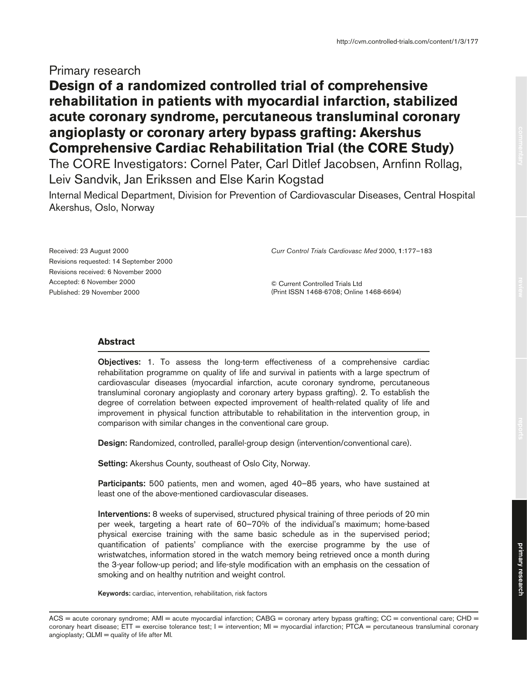## Primary research

# **Design of a randomized controlled trial of comprehensive rehabilitation in patients with myocardial infarction, stabilized acute coronary syndrome, percutaneous transluminal coronary angioplasty or coronary artery bypass grafting: Akershus Comprehensive Cardiac Rehabilitation Trial (the CORE Study)**

The CORE Investigators: Cornel Pater, Carl Ditlef Jacobsen, Arnfinn Rollag, Leiv Sandvik, Jan Erikssen and Else Karin Kogstad

Internal Medical Department, Division for Prevention of Cardiovascular Diseases, Central Hospital Akershus, Oslo, Norway

Received: 23 August 2000 Revisions requested: 14 September 2000 Revisions received: 6 November 2000 Accepted: 6 November 2000 Published: 29 November 2000

*Curr Control Trials Cardiovasc Med* 2000, **1**:177–183

© Current Controlled Trials Ltd (Print ISSN 1468-6708; Online 1468-6694)

### **Abstract**

**Objectives:** 1. To assess the long-term effectiveness of a comprehensive cardiac rehabilitation programme on quality of life and survival in patients with a large spectrum of cardiovascular diseases (myocardial infarction, acute coronary syndrome, percutaneous transluminal coronary angioplasty and coronary artery bypass grafting). 2. To establish the degree of correlation between expected improvement of health-related quality of life and improvement in physical function attributable to rehabilitation in the intervention group, in comparison with similar changes in the conventional care group.

**Design:** Randomized, controlled, parallel-group design (intervention/conventional care).

**Setting:** Akershus County, southeast of Oslo City, Norway.

**Participants:** 500 patients, men and women, aged 40–85 years, who have sustained at least one of the above-mentioned cardiovascular diseases.

**Interventions:** 8 weeks of supervised, structured physical training of three periods of 20 min per week, targeting a heart rate of 60–70% of the individual's maximum; home-based physical exercise training with the same basic schedule as in the supervised period; quantification of patients' compliance with the exercise programme by the use of wristwatches, information stored in the watch memory being retrieved once a month during the 3-year follow-up period; and life-style modification with an emphasis on the cessation of smoking and on healthy nutrition and weight control.

**Keywords:** cardiac, intervention, rehabilitation, risk factors

ACS = acute coronary syndrome; AMI = acute myocardial infarction; CABG = coronary artery bypass grafting; CC = conventional care; CHD = coronary heart disease; ETT = exercise tolerance test; I = intervention; MI = myocardial infarction; PTCA = percutaneous transluminal coronary angioplasty; QLMI = quality of life after MI.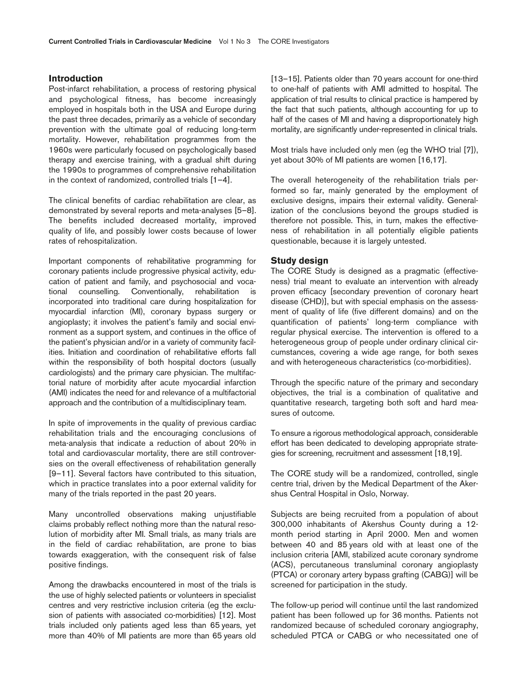## **Introduction**

Post-infarct rehabilitation, a process of restoring physical and psychological fitness, has become increasingly employed in hospitals both in the USA and Europe during the past three decades, primarily as a vehicle of secondary prevention with the ultimate goal of reducing long-term mortality. However, rehabilitation programmes from the 1960s were particularly focused on psychologically based therapy and exercise training, with a gradual shift during the 1990s to programmes of comprehensive rehabilitation in the context of randomized, controlled trials [1–4].

The clinical benefits of cardiac rehabilitation are clear, as demonstrated by several reports and meta-analyses [5–8]. The benefits included decreased mortality, improved quality of life, and possibly lower costs because of lower rates of rehospitalization.

Important components of rehabilitative programming for coronary patients include progressive physical activity, education of patient and family, and psychosocial and vocational counselling. Conventionally, rehabilitation is incorporated into traditional care during hospitalization for myocardial infarction (MI), coronary bypass surgery or angioplasty; it involves the patient's family and social environment as a support system, and continues in the office of the patient's physician and/or in a variety of community facilities. Initiation and coordination of rehabilitative efforts fall within the responsibility of both hospital doctors (usually cardiologists) and the primary care physician. The multifactorial nature of morbidity after acute myocardial infarction (AMI) indicates the need for and relevance of a multifactorial approach and the contribution of a multidisciplinary team.

In spite of improvements in the quality of previous cardiac rehabilitation trials and the encouraging conclusions of meta-analysis that indicate a reduction of about 20% in total and cardiovascular mortality, there are still controversies on the overall effectiveness of rehabilitation generally [9–11]. Several factors have contributed to this situation, which in practice translates into a poor external validity for many of the trials reported in the past 20 years.

Many uncontrolled observations making unjustifiable claims probably reflect nothing more than the natural resolution of morbidity after MI. Small trials, as many trials are in the field of cardiac rehabilitation, are prone to bias towards exaggeration, with the consequent risk of false positive findings.

Among the drawbacks encountered in most of the trials is the use of highly selected patients or volunteers in specialist centres and very restrictive inclusion criteria (eg the exclusion of patients with associated co-morbidities) [12]. Most trials included only patients aged less than 65 years, yet more than 40% of MI patients are more than 65 years old

[13–15]. Patients older than 70 years account for one-third to one-half of patients with AMI admitted to hospital. The application of trial results to clinical practice is hampered by the fact that such patients, although accounting for up to half of the cases of MI and having a disproportionately high mortality, are significantly under-represented in clinical trials.

Most trials have included only men (eg the WHO trial [7]), yet about 30% of MI patients are women [16,17].

The overall heterogeneity of the rehabilitation trials performed so far, mainly generated by the employment of exclusive designs, impairs their external validity. Generalization of the conclusions beyond the groups studied is therefore not possible. This, in turn, makes the effectiveness of rehabilitation in all potentially eligible patients questionable, because it is largely untested.

#### **Study design**

The CORE Study is designed as a pragmatic (effectiveness) trial meant to evaluate an intervention with already proven efficacy [secondary prevention of coronary heart disease (CHD)], but with special emphasis on the assessment of quality of life (five different domains) and on the quantification of patients' long-term compliance with regular physical exercise. The intervention is offered to a heterogeneous group of people under ordinary clinical circumstances, covering a wide age range, for both sexes and with heterogeneous characteristics (co-morbidities).

Through the specific nature of the primary and secondary objectives, the trial is a combination of qualitative and quantitative research, targeting both soft and hard measures of outcome.

To ensure a rigorous methodological approach, considerable effort has been dedicated to developing appropriate strategies for screening, recruitment and assessment [18,19].

The CORE study will be a randomized, controlled, single centre trial, driven by the Medical Department of the Akershus Central Hospital in Oslo, Norway.

Subjects are being recruited from a population of about 300,000 inhabitants of Akershus County during a 12 month period starting in April 2000. Men and women between 40 and 85 years old with at least one of the inclusion criteria [AMI, stabilized acute coronary syndrome (ACS), percutaneous transluminal coronary angioplasty (PTCA) or coronary artery bypass grafting (CABG)] will be screened for participation in the study.

The follow-up period will continue until the last randomized patient has been followed up for 36 months. Patients not randomized because of scheduled coronary angiography, scheduled PTCA or CABG or who necessitated one of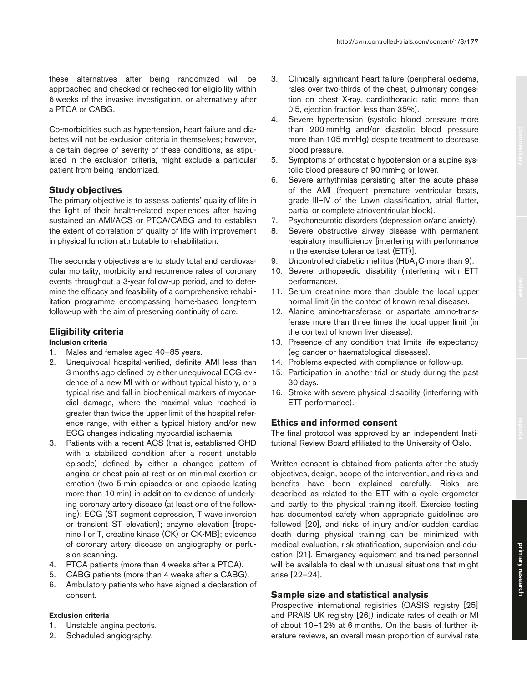these alternatives after being randomized will be approached and checked or rechecked for eligibility within 6 weeks of the invasive investigation, or alternatively after a PTCA or CABG.

Co-morbidities such as hypertension, heart failure and diabetes will not be exclusion criteria in themselves; however, a certain degree of severity of these conditions, as stipulated in the exclusion criteria, might exclude a particular patient from being randomized.

## **Study objectives**

The primary objective is to assess patients' quality of life in the light of their health-related experiences after having sustained an AMI/ACS or PTCA/CABG and to establish the extent of correlation of quality of life with improvement in physical function attributable to rehabilitation.

The secondary objectives are to study total and cardiovascular mortality, morbidity and recurrence rates of coronary events throughout a 3-year follow-up period, and to determine the efficacy and feasibility of a comprehensive rehabilitation programme encompassing home-based long-term follow-up with the aim of preserving continuity of care.

## **Eligibility criteria**

### **Inclusion criteria**

- 1. Males and females aged 40–85 years.
- 2. Unequivocal hospital-verified, definite AMI less than 3 months ago defined by either unequivocal ECG evidence of a new MI with or without typical history, or a typical rise and fall in biochemical markers of myocardial damage, where the maximal value reached is greater than twice the upper limit of the hospital reference range, with either a typical history and/or new ECG changes indicating myocardial ischaemia.
- 3. Patients with a recent ACS (that is, established CHD with a stabilized condition after a recent unstable episode) defined by either a changed pattern of angina or chest pain at rest or on minimal exertion or emotion (two 5-min episodes or one episode lasting more than 10 min) in addition to evidence of underlying coronary artery disease (at least one of the following): ECG (ST segment depression, T wave inversion or transient ST elevation); enzyme elevation [troponine I or T, creatine kinase (CK) or CK-MB]; evidence of coronary artery disease on angiography or perfusion scanning.
- 4. PTCA patients (more than 4 weeks after a PTCA).
- 5. CABG patients (more than 4 weeks after a CABG).
- 6. Ambulatory patients who have signed a declaration of consent.

#### **Exclusion criteria**

- 1. Unstable angina pectoris.
- 2. Scheduled angiography.
- 3. Clinically significant heart failure (peripheral oedema, rales over two-thirds of the chest, pulmonary congestion on chest X-ray, cardiothoracic ratio more than 0.5, ejection fraction less than 35%).
- 4. Severe hypertension (systolic blood pressure more than 200 mmHg and/or diastolic blood pressure more than 105 mmHg) despite treatment to decrease blood pressure.
- 5. Symptoms of orthostatic hypotension or a supine systolic blood pressure of 90 mmHg or lower.
- 6. Severe arrhythmias persisting after the acute phase of the AMI (frequent premature ventricular beats, grade III–IV of the Lown classification, atrial flutter, partial or complete atrioventricular block).
- 7. Psychoneurotic disorders (depression or/and anxiety).
- 8. Severe obstructive airway disease with permanent respiratory insufficiency [interfering with performance in the exercise tolerance test (ETT)].
- 9. Uncontrolled diabetic mellitus (HbA<sub>1</sub>C more than 9).
- 10. Severe orthopaedic disability (interfering with ETT performance).
- 11. Serum creatinine more than double the local upper normal limit (in the context of known renal disease).
- 12. Alanine amino-transferase or aspartate amino-transferase more than three times the local upper limit (in the context of known liver disease).
- 13. Presence of any condition that limits life expectancy (eg cancer or haematological diseases).
- 14. Problems expected with compliance or follow-up.
- 15. Participation in another trial or study during the past 30 days.
- 16. Stroke with severe physical disability (interfering with ETT performance).

## **Ethics and informed consent**

The final protocol was approved by an independent Institutional Review Board affiliated to the University of Oslo.

Written consent is obtained from patients after the study objectives, design, scope of the intervention, and risks and benefits have been explained carefully. Risks are described as related to the ETT with a cycle ergometer and partly to the physical training itself. Exercise testing has documented safety when appropriate guidelines are followed [20], and risks of injury and/or sudden cardiac death during physical training can be minimized with medical evaluation, risk stratification, supervision and education [21]. Emergency equipment and trained personnel will be available to deal with unusual situations that might arise [22–24].

## **Sample size and statistical analysis**

Prospective international registries (OASIS registry [25] and PRAIS UK registry [26]) indicate rates of death or MI of about 10–12% at 6 months. On the basis of further literature reviews, an overall mean proportion of survival rate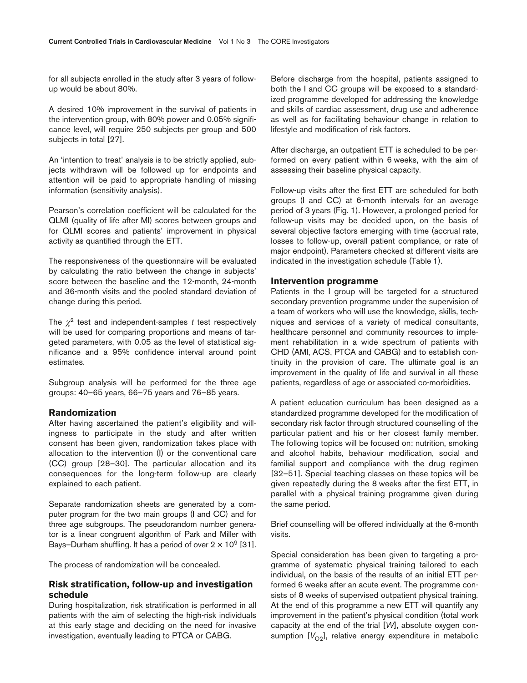for all subjects enrolled in the study after 3 years of followup would be about 80%.

A desired 10% improvement in the survival of patients in the intervention group, with 80% power and 0.05% significance level, will require 250 subjects per group and 500 subjects in total [27].

An 'intention to treat' analysis is to be strictly applied, subjects withdrawn will be followed up for endpoints and attention will be paid to appropriate handling of missing information (sensitivity analysis).

Pearson's correlation coefficient will be calculated for the QLMI (quality of life after MI) scores between groups and for QLMI scores and patients' improvement in physical activity as quantified through the ETT.

The responsiveness of the questionnaire will be evaluated by calculating the ratio between the change in subjects' score between the baseline and the 12-month, 24-month and 36-month visits and the pooled standard deviation of change during this period.

The  $\chi^2$  test and independent-samples *t* test respectively will be used for comparing proportions and means of targeted parameters, with 0.05 as the level of statistical significance and a 95% confidence interval around point estimates.

Subgroup analysis will be performed for the three age groups: 40–65 years, 66–75 years and 76–85 years.

#### **Randomization**

After having ascertained the patient's eligibility and willingness to participate in the study and after written consent has been given, randomization takes place with allocation to the intervention (I) or the conventional care (CC) group [28–30]. The particular allocation and its consequences for the long-term follow-up are clearly explained to each patient.

Separate randomization sheets are generated by a computer program for the two main groups (I and CC) and for three age subgroups. The pseudorandom number generator is a linear congruent algorithm of Park and Miller with Bays–Durham shuffling. It has a period of over  $2 \times 10^9$  [31].

The process of randomization will be concealed.

#### **Risk stratification, follow-up and investigation schedule**

During hospitalization, risk stratification is performed in all patients with the aim of selecting the high-risk individuals at this early stage and deciding on the need for invasive investigation, eventually leading to PTCA or CABG.

Before discharge from the hospital, patients assigned to both the I and CC groups will be exposed to a standardized programme developed for addressing the knowledge and skills of cardiac assessment, drug use and adherence as well as for facilitating behaviour change in relation to lifestyle and modification of risk factors.

After discharge, an outpatient ETT is scheduled to be performed on every patient within 6 weeks, with the aim of assessing their baseline physical capacity.

Follow-up visits after the first ETT are scheduled for both groups (I and CC) at 6-month intervals for an average period of 3 years (Fig. 1). However, a prolonged period for follow-up visits may be decided upon, on the basis of several objective factors emerging with time (accrual rate, losses to follow-up, overall patient compliance, or rate of major endpoint). Parameters checked at different visits are indicated in the investigation schedule (Table 1).

## **Intervention programme**

Patients in the I group will be targeted for a structured secondary prevention programme under the supervision of a team of workers who will use the knowledge, skills, techniques and services of a variety of medical consultants, healthcare personnel and community resources to implement rehabilitation in a wide spectrum of patients with CHD (AMI, ACS, PTCA and CABG) and to establish continuity in the provision of care. The ultimate goal is an improvement in the quality of life and survival in all these patients, regardless of age or associated co-morbidities.

A patient education curriculum has been designed as a standardized programme developed for the modification of secondary risk factor through structured counselling of the particular patient and his or her closest family member. The following topics will be focused on: nutrition, smoking and alcohol habits, behaviour modification, social and familial support and compliance with the drug regimen [32–51]. Special teaching classes on these topics will be given repeatedly during the 8 weeks after the first ETT, in parallel with a physical training programme given during the same period.

Brief counselling will be offered individually at the 6-month visits.

Special consideration has been given to targeting a programme of systematic physical training tailored to each individual, on the basis of the results of an initial ETT performed 6 weeks after an acute event. The programme consists of 8 weeks of supervised outpatient physical training*.* At the end of this programme a new ETT will quantify any improvement in the patient's physical condition (total work capacity at the end of the trial [*W*], absolute oxygen consumption  $[V<sub>O2</sub>]$ , relative energy expenditure in metabolic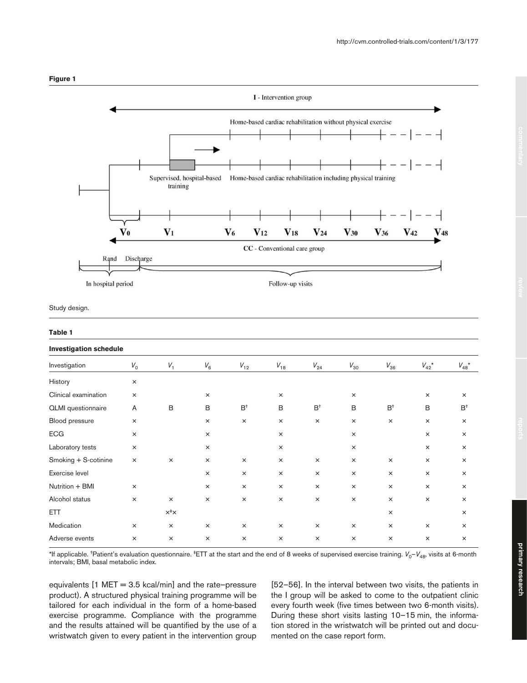

Study design.

#### **Table 1**

| <b>Investigation schedule</b> |          |                 |          |          |          |               |          |          |                  |                             |
|-------------------------------|----------|-----------------|----------|----------|----------|---------------|----------|----------|------------------|-----------------------------|
| Investigation                 | $V_0$    | $V_1$           | $V_6$    | $V_{12}$ | $V_{18}$ | $V^{\,}_{24}$ | $V_{30}$ | $V_{36}$ | $V_{42}^{\star}$ | $V_{48}^{\phantom{4}\star}$ |
| History                       | $\times$ |                 |          |          |          |               |          |          |                  |                             |
| Clinical examination          | $\times$ |                 | $\times$ |          | $\times$ |               | $\times$ |          | $\times$         | $\times$                    |
| <b>QLMI</b> questionnaire     | A        | B               | B        | $B^+$    | B        | $B^+$         | B        | $B^+$    | B                | $B^+$                       |
| Blood pressure                | $\times$ |                 | $\times$ | $\times$ | $\times$ | $\times$      | $\times$ | $\times$ | $\times$         | $\times$                    |
| <b>ECG</b>                    | $\times$ |                 | $\times$ |          | $\times$ |               | $\times$ |          | $\times$         | $\times$                    |
| Laboratory tests              | ×        |                 | $\times$ |          | $\times$ |               | $\times$ |          | $\times$         | $\times$                    |
| Smoking + S-cotinine          | $\times$ | $\times$        | $\times$ | $\times$ | $\times$ | $\times$      | $\times$ | $\times$ | $\times$         | $\times$                    |
| Exercise level                |          |                 | $\times$ | $\times$ | $\times$ | $\times$      | $\times$ | $\times$ | $\times$         | $\times$                    |
| Nutrition + BMI               | ×        |                 | $\times$ | $\times$ | $\times$ | $\times$      | $\times$ | $\times$ | $\times$         | $\times$                    |
| Alcohol status                | ×        | $\times$        | $\times$ | $\times$ | $\times$ | $\times$      | $\times$ | $\times$ | $\times$         | $\times$                    |
| <b>ETT</b>                    |          | $x^{\ddagger}x$ |          |          |          |               |          | $\times$ |                  | $\times$                    |
| Medication                    | ×        | $\times$        | $\times$ | $\times$ | $\times$ | $\times$      | $\times$ | $\times$ | $\times$         | $\times$                    |
| Adverse events                | $\times$ | $\times$        | $\times$ | $\times$ | $\times$ | $\times$      | $\times$ | $\times$ | $\times$         | $\times$                    |

\*If applicable. <sup>†</sup>Patient's evaluation questionnaire. <sup>‡</sup>ETT at the start and the end of 8 weeks of supervised exercise training.  $V_0 - V_{48}$ , visits at 6-month intervals; BMI, basal metabolic index.

equivalents [1 MET = 3.5 kcal/min] and the rate–pressure product). A structured physical training programme will be tailored for each individual in the form of a home-based exercise programme. Compliance with the programme and the results attained will be quantified by the use of a wristwatch given to every patient in the intervention group

[52–56]. In the interval between two visits, the patients in the I group will be asked to come to the outpatient clinic every fourth week (five times between two 6-month visits). During these short visits lasting 10–15 min, the information stored in the wristwatch will be printed out and documented on the case report form.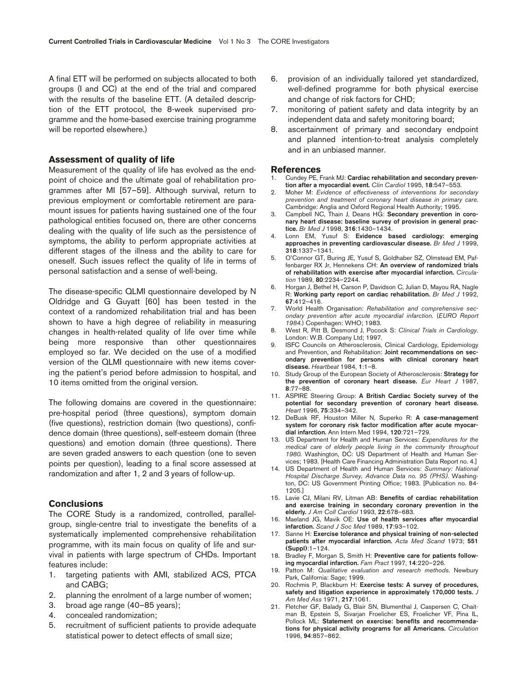A final ETT will be performed on subjects allocated to both groups (I and CC) at the end of the trial and compared with the results of the baseline ETT. (A detailed description of the ETT protocol, the 8-week supervised programme and the home-based exercise training programme will be reported elsewhere.)

#### **Assessment of quality of life**

Measurement of the quality of life has evolved as the endpoint of choice and the ultimate goal of rehabilitation programmes after MI [57–59]. Although survival, return to previous employment or comfortable retirement are paramount issues for patients having sustained one of the four pathological entities focused on, there are other concerns dealing with the quality of life such as the persistence of symptoms, the ability to perform appropriate activities at different stages of the illness and the ability to care for oneself. Such issues reflect the quality of life in terms of personal satisfaction and a sense of well-being.

The disease-specific QLMI questionnaire developed by N Oldridge and G Guyatt [60] has been tested in the context of a randomized rehabilitation trial and has been shown to have a high degree of reliability in measuring changes in health-related quality of life over time while being more responsive than other questionnaires employed so far. We decided on the use of a modified version of the QLMI questionnaire with new items covering the patient's period before admission to hospital, and 10 items omitted from the original version.

The following domains are covered in the questionnaire: pre-hospital period (three questions), symptom domain (five questions), restriction domain (two questions), confidence domain (three questions), self-esteem domain (three questions) and emotion domain (three questions). There are seven graded answers to each question (one to seven points per question), leading to a final score assessed at randomization and after 1, 2 and 3 years of follow-up.

### **Conclusions**

The CORE Study is a randomized, controlled, parallelgroup, single-centre trial to investigate the benefits of a systematically implemented comprehensive rehabilitation programme, with its main focus on quality of life and survival in patients with large spectrum of CHDs. Important features include:

- 1. targeting patients with AMI, stabilized ACS, PTCA and CABG;
- 2. planning the enrolment of a large number of women;
- 3. broad age range (40–85 years);
- 4. concealed randomization;
- 5. recruitment of sufficient patients to provide adequate statistical power to detect effects of small size;
- 6. provision of an individually tailored yet standardized, well-defined programme for both physical exercise and change of risk factors for CHD;
- 7. monitoring of patient safety and data integrity by an independent data and safety monitoring board;
- 8. ascertainment of primary and secondary endpoint and planned intention-to-treat analysis completely and in an unbiased manner.

#### **References**

- 1. Cundey PE, Frank MJ: **Cardiac rehabilitation and secondary prevention after a myocardial event.** *Clin Cardiol* 1995, **18**:547–553.
- 2. Moher M: *Evidence of effectiveness of interventions for secondary prevention and treatment of coronary heart disease in primary care.* Cambridge: Anglia and Oxford Regional Health Authority; 1995.
- 3. Campbell NC, Thain J, Deans HG: **Secondary prevention in coronary heart disease: baseline survey of provision in general practice.** *Br Med J* 1998, **316**:1430–1434.
- 4. Lonn EM, Yusuf S: **Evidence based cardiology: emerging approaches in preventing cardiovascular disease.** *Br Med J* 1999, **318**:1337–1341.
- 5. O'Connor GT, Buring JE, Yusuf S, Goldhaber SZ, Olmstead EM, Paffenbarger RX Jr, Hennekens CH: **An overview of randomized trials of rehabilitation with exercise after myocardial infarction.** *Circulation* 1989, **80**:2234–2244.
- 6. Horgan J, Bethel H, Carson P, Davidson C, Julian D, Mayou RA, Nagle R: **Working party report on cardiac rehabilitation.** *Br Med J* 1992, **67**:412–416.
- 7. World Health Organisation: *Rehabilitation and comprehensive secondary prevention after acute myocardial infarction.* (*EURO Report 1984.*) Copenhagen: WHO; 1983.
- 8. West R, Pitt B, Desmond J, Pocock S: *Clinical Trials in Cardiology*. London: W.B. Company Ltd; 1997.
- 9. ISFC Councils on Atherosclerosis, Clinical Cardiology, Epidemiology and Prevention, and Rehabilitation: **Joint recommendations on secondary prevention for persons with clinical coronary heart disease.** *Heartbeat* 1984, **1**:1–8.
- 10. Study Group of the European Society of Atherosclerosis: **Strategy for the prevention of coronary heart disease.** *Eur Heart J* 1987, **8**:77–88.
- 11. ASPIRE Steering Group: **A British Cardiac Society survey of the potential for secondary prevention of coronary heart disease.** *Heart* 1996, **75**:334–342.
- 12. DeBusk RF, Houston Miller N, Superko R: **A case-management system for coronary risk factor modification after acute myocardial infarction.** Ann Intern Med 1994, **120**:721–729.
- 13. US Department for Health and Human Services: *Expenditures for the medical care of elderly people living in the community throughout 1980.* Washington, DC: US Department of Health and Human Services; 1983. [Health Care Financing Administration Data Report no. 4.]
- 14. US Department of Health and Human Services: *Summary: National Hospital Discharge Survey, Advance Data no. 95 (PHS)*. Washington, DC: US Government Printing Office; 1983. [Publication no. 84- 1205.]
- 15. Lavie CJ, Milani RV, Litman AB: **Benefits of cardiac rehabilitation and exercise training in secondary coronary prevention in the elderly.** *J Am Coll Cardiol* 1993, **22**:678–683.
- 16. Maeland JG, Mavik OE: **Use of health services after myocardial infarction.** *Scand J Soc Med* 1989, **17**:93–102.
- 17. Sanne H: **Exercise tolerance and physical training of non-selected patients after myocardial infarction.** *Acta Med Scand* 1973; **551 (Suppl)**:1–124.
- 18. Bradley F, Morgan S, Smith H: **Preventive care for patients following myocardial infarction.** *Fam Pract* 1997, **14**:220–226.
- 19. Patton M: *Qualitative evaluation and research methods.* Newbury Park, California: Sage; 1999.
- 20. Rochmis P, Blackburn H: **Exercise tests: A survey of procedures, safety and litigation experience in approximately 170,000 tests.** *J Am Med Ass* 1971, **217**:1061.
- 21. Fletcher GF, Balady G, Blair SN, Blumenthal J, Caspersen C, Chaitman B, Epstein S, Sivarjan Froelicher ES, Froelicher VF, Pina IL, Pollock ML: **Statement on exercise: benefits and recommendations for physical activity programs for all Americans.** *Circulation* 1996, **94**:857–862.